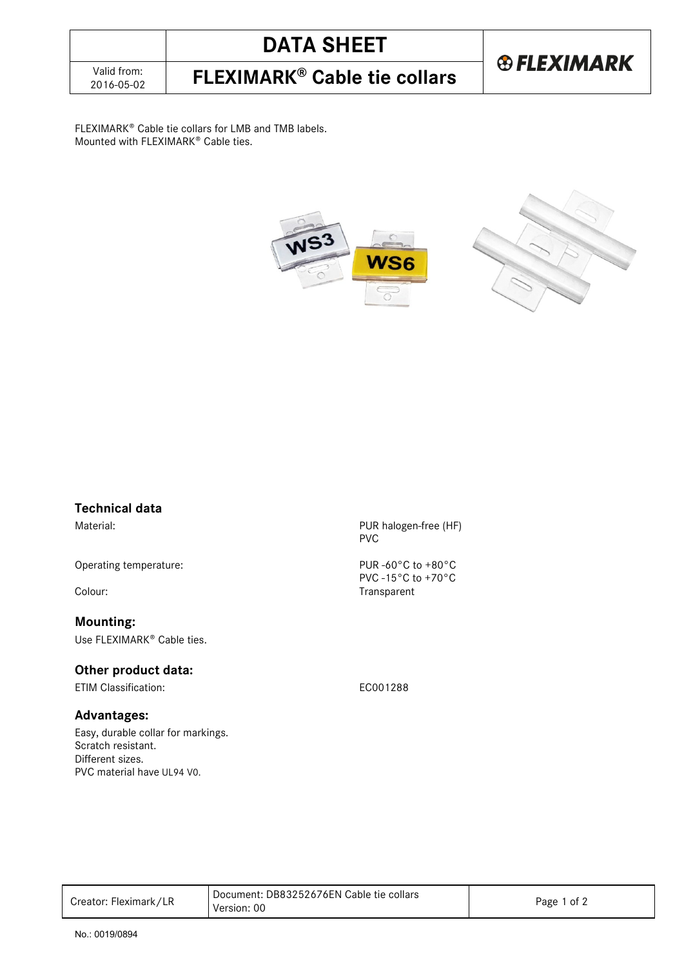2016-05-02 **FLEXIMARK® Cable tie collars**

**& FLEXIMARK** 

FLEXIMARK<sup>®</sup> Cable tie collars for LMB and TMB labels. Mounted with FLEXIMARK® Cable ties.





## **Technical data**

Operating temperature: PUR -60°C to +80°C

**Mounting:**  Use FLEXIMARK<sup>®</sup> Cable ties.

### **Other product data:**

ETIM Classification: EC001288

### **Advantages:**

Easy, durable collar for markings. Scratch resistant. Different sizes. PVC material have UL94 V0.

Material: PUR halogen-free (HF) PVC

PVC -15°C to +70°C Colour: Transparent

| Creator: Fleximark/LR | Document: DB83252676EN Cable tie collars<br>Version: 00 | 'of ∠<br>Page |
|-----------------------|---------------------------------------------------------|---------------|
|                       |                                                         |               |